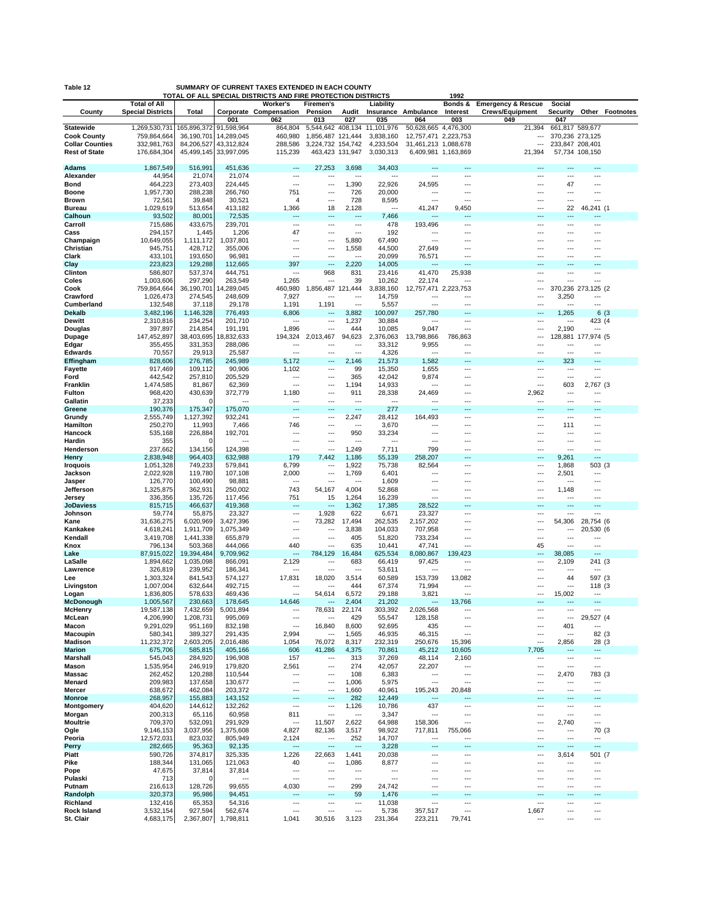| Table 12                               |                              |                           |                          | SUMMARY OF CURRENT TAXES EXTENDED IN EACH COUNTY                         |                                        |                                   |                         |                                              |                                    |                               |                                    |                        |                        |
|----------------------------------------|------------------------------|---------------------------|--------------------------|--------------------------------------------------------------------------|----------------------------------------|-----------------------------------|-------------------------|----------------------------------------------|------------------------------------|-------------------------------|------------------------------------|------------------------|------------------------|
|                                        | <b>Total of All</b>          |                           |                          | TOTAL OF ALL SPECIAL DISTRICTS AND FIRE PROTECTION DISTRICTS<br>Worker's | <b>Firemen's</b>                       |                                   | Liability               |                                              | 1992<br>Bonds &                    | <b>Emergency &amp; Rescue</b> | Social                             |                        |                        |
| County                                 | <b>Special Districts</b>     | Total                     |                          | Corporate Compensation                                                   | Pension                                | Audit                             |                         | Insurance Ambulance                          | Interest                           | <b>Crews/Equipment</b>        | <b>Security</b>                    |                        | <b>Other Footnotes</b> |
|                                        |                              |                           | 001                      | 062                                                                      | 013                                    | 027                               | 035                     | 064                                          | 003                                | 049                           | 047                                |                        |                        |
| <b>Statewide</b><br><b>Cook County</b> | 1,269,530,731<br>759,864,664 | 165,896,372<br>36,190,701 | 91,598,964<br>14,289,045 | 864,804<br>460,980                                                       | 5,544,642 408,134<br>1,856,487 121,444 |                                   | 11,101,976<br>3,838,160 | 50,628,665 4,476,300<br>12,757,471 2,223,753 |                                    | 21,394<br>---                 | 661,817 589,677<br>370,236 273,125 |                        |                        |
| <b>Collar Counties</b>                 | 332,981,763                  | 84,206,527                | 43,312,824               | 288,586                                                                  | 3,224,732 154,742                      |                                   | 4,233,504               | 31,461,213 1,088,678                         |                                    |                               | 233,847 208,401                    |                        |                        |
| <b>Rest of State</b>                   | 176,684,304                  | 45,499,145                | 33,997,095               | 115,239                                                                  |                                        | 463,423 131,947                   | 3,030,313               |                                              | 6,409,981 1,163,869                | 21,394                        |                                    | 57,734 108,150         |                        |
|                                        |                              |                           |                          |                                                                          |                                        |                                   |                         |                                              |                                    |                               |                                    |                        |                        |
| <b>Adams</b><br>Alexander              | 1,867,549<br>44,954          | 516,991<br>21,074         | 451,636<br>21,074        | ---<br>$\sim$                                                            | 27,253<br>…                            | 3,698<br>---                      | 34,403<br>---           | ---<br>$\overline{a}$                        | ---                                | ---<br>---                    | <br>---                            | $\overline{a}$         |                        |
| Bond                                   | 464,223                      | 273,403                   | 224,445                  | ---                                                                      | ---                                    | 1,390                             | 22,926                  | 24,595                                       | ---                                | ---                           | 47                                 | ---                    |                        |
| <b>Boone</b>                           | 1,957,730                    | 288,238                   | 266,760                  | 751                                                                      | ---                                    | 726                               | 20,000                  | ---                                          | ---                                | ---                           |                                    |                        |                        |
| <b>Brown</b>                           | 72,561                       | 39,848                    | 30,521                   | 4                                                                        |                                        | 728                               | 8,595                   | ---                                          | ---                                | ---                           | ---                                | $\overline{a}$         |                        |
| Bureau                                 | 1,029,619                    | 513,654                   | 413,182                  | 1,366                                                                    | 18<br>                                 | 2,128<br>---                      | ---<br>7,466            | 41,247                                       | 9,450                              | ---                           | 22                                 | 46,241 (1              |                        |
| Calhoun<br>Carroll                     | 93,502<br>715,686            | 80,001<br>433,675         | 72,535<br>239,701        | $\sim$                                                                   |                                        | ---                               | 478                     | 193,496                                      | ---                                | ---                           | ---                                | ---                    |                        |
| Cass                                   | 294,157                      | 1,445                     | 1,206                    | 47                                                                       | ---                                    | $\overline{\phantom{a}}$          | 192                     | $---$                                        | ---                                | ---                           | ---                                |                        |                        |
| Champaign                              | 10,649,055                   | 1,111,172                 | 1,037,801                | ---                                                                      | …                                      | 5,880                             | 67,490                  | ---                                          | ---                                | ---                           | ---                                |                        |                        |
| Christian                              | 945,75'                      | 428,712                   | 355,006                  | $\sim$                                                                   | ---                                    | 1,558                             | 44,500                  | 27,649                                       | ---                                | $\overline{a}$                | ---                                | $\overline{a}$         |                        |
| Clark<br>Clay                          | 433,101<br>223,823           | 193,650<br>129,288        | 96,981<br>112,665        | ---<br>397                                                               | ---<br>                                | $\overline{a}$<br>2,220           | 20,099<br>14,005        | 76,571                                       | ---                                | ---                           | ---<br>÷÷                          | ---                    |                        |
| Clinton                                | 586,807                      | 537,374                   | 444,751                  | ---                                                                      | 968                                    | 831                               | 23,416                  | 41,470                                       | 25,938                             | ---                           | ---                                | ---                    |                        |
| Coles                                  | 1,003,606                    | 297,290                   | 263,549                  | 1,265                                                                    | $\overline{a}$                         | 39                                | 10,262                  | 22,174                                       | ---                                | ---                           | ---                                | ---                    |                        |
| Cook                                   | 759,864,664                  | 36,190,701                | 4,289,045                | 460,980                                                                  | 1,856,487 121,444                      |                                   | 3,838,160               | 12,757,471 2,223,753                         |                                    | ---                           |                                    | 370,236 273,125 (2     |                        |
| Crawford                               | 1,026,473                    | 274,545                   | 248,609                  | 7,927                                                                    | ---                                    | ---<br>$\overline{\phantom{a}}$   | 14,759                  | ---<br>---                                   | $\overline{a}$<br>---              | ---<br>---                    | 3,250<br>                          | ---<br>---             |                        |
| Cumberland<br>Dekalb                   | 132,548<br>3,482,196         | 37,118<br>1,146,328       | 29,178<br>776,493        | 1,191<br>6,806                                                           | 1,191<br>---                           | 3,882                             | 5,557<br>100,097        | 257,780                                      |                                    | ---                           | 1,265                              | 6(3)                   |                        |
| Dewitt                                 | 2,310,816                    | 234,254                   | 201,710                  | ---                                                                      | $\overline{a}$                         | 1,237                             | 30,884                  | ---                                          | $\overline{a}$                     | $\overline{a}$                | ---                                | 423 (4                 |                        |
| <b>Douglas</b>                         | 397,897                      | 214,854                   | 191,191                  | 1,896                                                                    | …                                      | 444                               | 10,085                  | 9,047                                        | ---                                | ---                           | 2,190                              | ---                    |                        |
| Dupage                                 | 147,452,897                  | 38,403,695                | 18,832,633               | 194,324                                                                  | 2,013,467                              | 94,623                            | 2,376,063               | 13,798,866                                   | 786,863                            | ---                           |                                    | 128,881 177,974 (5     |                        |
| Edgar<br><b>Edwards</b>                | 355,455<br>70,557            | 331,353<br>29,913         | 288,086<br>25,587        | ---<br>---                                                               | …                                      | ---<br>                           | 33,312<br>4,326         | 9,955<br>---                                 |                                    | ---<br>---                    | …                                  | ---                    |                        |
| <b>Effingham</b>                       | 828,606                      | 276,785                   | 245,989                  | 5,172                                                                    | ---                                    | 2,146                             | 21,573                  | 1,582                                        | ---                                | ---                           | 323                                | ---                    |                        |
| <b>Fayette</b>                         | 917,469                      | 109,112                   | 90,906                   | 1,102                                                                    | ---                                    | 99                                | 15,350                  | 1,655                                        | ---                                | ---                           | ---                                | ---                    |                        |
| Ford                                   | 442,542                      | 257,810                   | 205,529                  | ---                                                                      |                                        | 365                               | 42,042                  | 9,874                                        | ---                                | ---                           | ---                                |                        |                        |
| Franklin                               | 1,474,585                    | 81,867                    | 62,369                   | $\sim$                                                                   | ---                                    | 1,194                             | 14,933                  | ---                                          | ---                                | $\overline{a}$                | 603                                | 2,767 (3               |                        |
| Fulton<br>Gallatin                     | 968,420<br>37,233            | 430,639                   | 372,779                  | 1,180<br>---                                                             | ---<br>                                | 911<br>---                        | 28,338                  | 24,469                                       | ---<br>                            | 2,962<br>---                  | ---<br>---                         | ---<br>                |                        |
| Greene                                 | 190,376                      | 175,347                   | 175,070                  | ---                                                                      | ---                                    | $\overline{a}$                    | 277                     | ---                                          | ---                                | ---                           | ---                                | ---                    |                        |
| Grundy                                 | 2,555,749                    | 1,127,392                 | 932,241                  | ---                                                                      | ---                                    | 2,247                             | 28,412                  | 164,493                                      | ---                                | ---                           | ---                                |                        |                        |
| Hamilton                               | 250,270                      | 11,993                    | 7,466                    | 746                                                                      | ---                                    | $\overline{a}$                    | 3,670                   | $-$                                          | ---                                | $\overline{a}$                | 111                                |                        |                        |
| Hancock<br>Hardin                      | 535,168<br>355               | 226,884<br>C              | 192,701                  | ---<br>---                                                               | <br>…                                  | 950<br>---                        | 33,234<br>÷÷.           | ---<br>---                                   | ---<br>---                         | ---<br>---                    | ---<br>                            | ---<br>                |                        |
| Henderson                              | 237,662                      | 134,156                   | 124,398                  | $\sim$                                                                   | $\overline{a}$                         | 1,249                             | 7,711                   | 799                                          | ---                                | $\overline{a}$                | $\overline{a}$                     |                        |                        |
| Henry                                  | 2,838,948                    | 964,403                   | 632,988                  | 179                                                                      | 7,442                                  | 1,186                             | 55,139                  | 258,207                                      | ---                                | ---                           | 9,261                              | ---                    |                        |
| Iroquois                               | 1,051,328                    | 749,233                   | 579,841                  | 6,799                                                                    |                                        | 1,922                             | 75,738                  | 82,564                                       | ---                                | ---                           | 1,868                              | 503 (3                 |                        |
| Jackson                                | 2,022,928                    | 119,780                   | 107,108                  | 2,000<br>---                                                             | ---                                    | 1,769<br>$\overline{\phantom{a}}$ | 6,401                   | ---                                          | ---                                | ---                           | 2,501<br>---                       | ---                    |                        |
| Jasper<br>Jefferson                    | 126,770<br>1,325,875         | 100,490<br>362,931        | 98,881<br>250,002        | 743                                                                      | <br>54,167                             | 4,004                             | 1,609<br>52,868         | $---$<br>$\sim$                              | ---<br>                            | ---<br>$\overline{a}$         | 1,148                              | ---<br>$\sim$          |                        |
| Jersey                                 | 336,356                      | 135,726                   | 117,456                  | 751                                                                      | 15                                     | 1,264                             | 16,239                  | $\sim$                                       | ---                                | $\overline{a}$                | ---                                | $\overline{a}$         |                        |
| <b>JoDaviess</b>                       | 815,715                      | 466,637                   | 419,368                  | ---                                                                      |                                        | 1,362                             | 17,385                  | 28,522                                       |                                    |                               | …                                  |                        |                        |
| Johnson                                | 59,774                       | 55,875                    | 23,327                   | ---                                                                      | 1,928                                  | 622                               | 6,671                   | 23,327                                       | ---                                | ---                           | $\overline{a}$                     | ---                    |                        |
| Kane<br>Kankakee                       | 31,636,275<br>4,618,241      | 6,020,969<br>1,911,709    | 3,427,396<br>1,075,349   | ---<br>---                                                               | 73,282<br>…                            | 17,494<br>3,838                   | 262,535<br>104,033      | 2,157,202<br>707,958                         | ---<br>---                         | ---<br>---                    | 54,306<br>---                      | 28,754 (6<br>20,530 (6 |                        |
| Kendall                                | 3,419,708                    | 1,441,338                 | 655,879                  | ---                                                                      | ---                                    | 405                               | 51,820                  | 733,234                                      |                                    | ---                           | ---                                |                        |                        |
| Knox                                   | 796,134                      | 503,368                   | 444,066                  | 440                                                                      |                                        | 635                               | 10,441                  | 47,741                                       | ---                                | 45                            |                                    | $\overline{a}$         |                        |
| Lake                                   | 87,915,022                   | 19,394,484                | 9.709.962                | ---                                                                      | 784,129<br>---                         | 16,484                            | 625,534                 | 8,080,867                                    | 139,423<br>---                     | ---<br>$\overline{a}$         | 38,085                             | ---                    |                        |
| LaSalle<br>Lawrence                    | 1,894,662<br>326,819         | 1,035,098<br>239,952      | 866,091<br>186,341       | 2,129<br>---                                                             | …                                      | 683<br>---                        | 66,419<br>53,611        | 97,425<br>---                                | ---                                | ---                           | 2,109<br>---                       | 241 (3                 |                        |
| Lee                                    | 1,303,324                    | 841,543                   | 574,127                  | 17,831                                                                   | 18,020                                 | 3,514                             | 60,589                  | 153,739                                      | 13,082                             | ---                           | 44                                 | 597 (3                 |                        |
| Livingston                             | 1,007,004                    | 632,644                   | 492,715                  | ---                                                                      | ---                                    | 444                               | 67,374                  | 71,994                                       | ---                                | ---                           | ---                                | 118 (3                 |                        |
| Logan                                  | 1,836,805                    | 578,633                   | 469,436                  | ---                                                                      | 54,614                                 | 6,572                             | 29,188                  | 3,821                                        |                                    | ---                           | 15,002                             | ---                    |                        |
| <b>McDonoug</b><br><b>McHenry</b>      | 1,005,567<br>19,587,138      | 230,663<br>7,432,659      | 178,645<br>5,001,894     | 14,646<br>$\cdots$                                                       | 78,631                                 | 2,404<br>22,174                   | 21,202<br>303,392       | 2,026,568                                    | 13,766<br>$\ddotsc$                | ---                           | $\cdots$                           | $\overline{a}$         |                        |
| McLean                                 | 4,206,990                    | 1,208,731                 | 995,069                  | $\overline{\phantom{a}}$                                                 | …                                      | 429                               | 55,547                  | 128,158                                      | ---                                | ---                           | ---                                | 29,527 (4              |                        |
| Macon                                  | 9,291,029                    | 951,169                   | 832,198                  | ---                                                                      | 16,840                                 | 8,600                             | 92,695                  | 435                                          | ---                                | ---                           | 401                                | ---                    |                        |
| <b>Macoupin</b>                        | 580,341                      | 389,327                   | 291,435                  | 2,994                                                                    | ---                                    | 1,565                             | 46,935                  | 46,315                                       | $\overline{\phantom{a}}$           | ---                           | ---                                | 82 (3                  |                        |
| Madison<br><b>Marion</b>               | 11,232,372<br>675,706        | 2,603,205<br>585,815      | 2,016,486<br>405,166     | 1,054<br>606                                                             | 76,072<br>41,286                       | 8,317<br>4,375                    | 232,319<br>70,861       | 250,676<br>45,212                            | 15,396<br>10,605                   | ---<br>7,705                  | 2,856<br>…                         | 28 (3<br>---           |                        |
| <b>Marshall</b>                        | 545,043                      | 284,920                   | 196,908                  | 157                                                                      | ---                                    | 313                               | 37,269                  | 48,114                                       | 2,160                              | ---                           | ---                                | ---                    |                        |
| Mason                                  | 1,535,954                    | 246,919                   | 179,820                  | 2,561                                                                    | ---                                    | 274                               | 42,057                  | 22,207                                       | ---                                | ---                           | ---                                | ---                    |                        |
| <b>Massac</b>                          | 262,452                      | 120,288                   | 110,544                  | ---                                                                      | ---                                    | 108                               | 6,383                   | $\cdots$                                     | $\overline{\phantom{a}}$           | ---                           | 2,470                              | 783 (3                 |                        |
| Menard<br>Mercer                       | 209,983<br>638,672           | 137,658<br>462,084        | 130,677<br>203,372       | $\overline{a}$<br>$\sim$                                                 | ---<br>---                             | 1,006<br>1,660                    | 5,975<br>40,961         | $\cdots$<br>195,243                          | ---<br>20,848                      | ---<br>$\overline{a}$         | ---<br>---                         | ---<br>---             |                        |
| <b>Monroe</b>                          | 268,957                      | 155,883                   | 143,152                  | ---                                                                      | ---                                    | 282                               | 12,449                  | ---                                          |                                    | ---                           | ---                                | ---                    |                        |
| Montgomery                             | 404,620                      | 144,612                   | 132,262                  | ---                                                                      | ---                                    | 1,126                             | 10,786                  | 437                                          | ---                                | ---                           | ---                                | ---                    |                        |
| Morgan                                 | 200,313                      | 65,116                    | 60,958                   | 811                                                                      | ---                                    | ---                               | 3,347                   | ---                                          | ---                                | ---                           | ---                                | ---                    |                        |
| <b>Moultrie</b>                        | 709,370<br>9,146,153         | 532,091                   | 291,929                  | ---                                                                      | 11,507                                 | 2,622                             | 64,988                  | 158,306                                      | ---                                | ---<br>---                    | 2,740                              | ---                    |                        |
| Ogle<br>Peoria                         | 12,572,031                   | 3,037,956<br>823,032      | 1,375,608<br>805,949     | 4,827<br>2,124                                                           | 82,136<br>---                          | 3,517<br>252                      | 98,922<br>14,707        | 717,811<br>---                               | 755,066<br>$\overline{a}$          | $\overline{a}$                | ---<br>---                         | 70 (3<br>---           |                        |
| <b>Perry</b>                           | 282,665                      | 95,363                    | 92,135                   | ---                                                                      | ---                                    | ---                               | 3,228                   | ---                                          |                                    | ---                           | ---                                | ---                    |                        |
| Piatt                                  | 590,726                      | 374,817                   | 325,335                  | 1,226                                                                    | 22,663                                 | 1,441                             | 20,038                  | ---                                          | ---                                | ---                           | 3,614                              | 501 (7                 |                        |
| Pike                                   | 188,344                      | 131,065                   | 121,063                  | 40                                                                       | ---                                    | 1,086                             | 8,877                   | ---                                          | ---                                | ---                           | ---                                | $\cdots$               |                        |
| Pope<br>Pulaski                        | 47,675<br>713                | 37,814<br>n               | 37,814<br>---            | ---<br>---                                                               | <br>---                                | ---<br>---                        | ---<br>                 | ---                                          | ---<br>                            | ---<br>---                    | ---<br>---                         | ---<br>---             |                        |
| Putnam                                 | 216,613                      | 128,726                   | 99,655                   | 4,030                                                                    | ---                                    | 299                               | 24,742                  | $\overline{a}$                               | ---                                | ---                           | ---                                | $\cdots$               |                        |
| Randolph                               | 320,373                      | 95,986                    | 94,451                   | ---                                                                      | ---                                    | 59                                | 1,476                   | ---                                          | ---                                | ---                           | ---                                | ---                    |                        |
| Richland                               | 132,416                      | 65,353                    | 54,316                   | ---                                                                      | ---                                    | ---                               | 11,038                  | ---                                          | ---                                | ---                           | ---                                | ---                    |                        |
| <b>Rock Island</b><br>St. Clair        | 3,532,154<br>4,683,175       | 927,594<br>2,367,807      | 562,674<br>1,798,811     | $\overline{a}$<br>1,041                                                  | ---<br>30,516                          | ---<br>3,123                      | 5,736<br>231,364        | 357,517<br>223,211                           | $\overline{\phantom{a}}$<br>79,741 | 1,667<br>---                  | $\cdots$<br>---                    | $\overline{a}$<br>---  |                        |